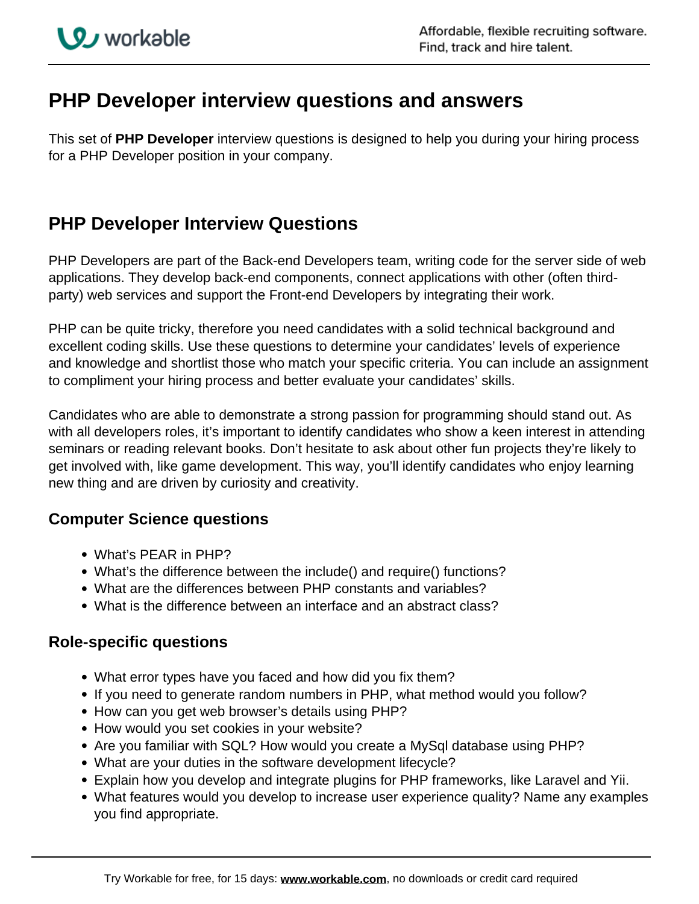# **PHP Developer interview questions and answers**

This set of **PHP Developer** interview questions is designed to help you during your hiring process for a PHP Developer position in your company.

# **PHP Developer Interview Questions**

PHP Developers are part of the Back-end Developers team, writing code for the server side of web applications. They develop back-end components, connect applications with other (often thirdparty) web services and support the Front-end Developers by integrating their work.

PHP can be quite tricky, therefore you need candidates with a solid technical background and excellent coding skills. Use these questions to determine your candidates' levels of experience and knowledge and shortlist those who match your specific criteria. You can include an assignment to compliment your hiring process and better evaluate your candidates' skills.

Candidates who are able to demonstrate a strong passion for programming should stand out. As with all developers roles, it's important to identify candidates who show a keen interest in attending seminars or reading relevant books. Don't hesitate to ask about other fun projects they're likely to get involved with, like game development. This way, you'll identify candidates who enjoy learning new thing and are driven by curiosity and creativity.

## **Computer Science questions**

- What's PEAR in PHP?
- What's the difference between the include() and require() functions?
- What are the differences between PHP constants and variables?
- What is the difference between an interface and an abstract class?

### **Role-specific questions**

- What error types have you faced and how did you fix them?
- If you need to generate random numbers in PHP, what method would you follow?
- How can you get web browser's details using PHP?
- How would you set cookies in your website?
- Are you familiar with SQL? How would you create a MySql database using PHP?
- What are your duties in the software development lifecycle?
- Explain how you develop and integrate plugins for PHP frameworks, like Laravel and Yii.
- What features would you develop to increase user experience quality? Name any examples you find appropriate.